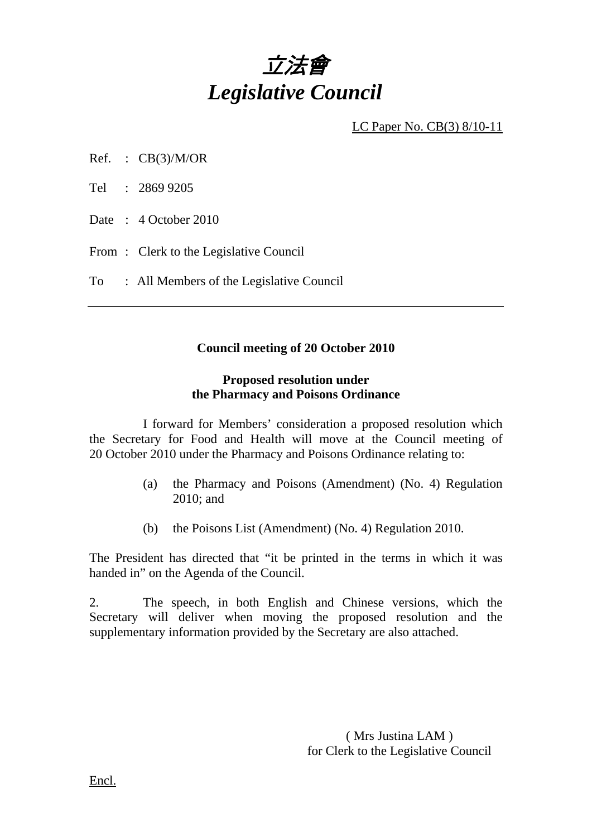

LC Paper No. CB(3) 8/10-11

- Ref. :  $CB(3)/M/OR$
- Tel : 2869 9205
- Date : 4 October 2010
- From: Clerk to the Legislative Council
- To : All Members of the Legislative Council

### **Council meeting of 20 October 2010**

## **Proposed resolution under the Pharmacy and Poisons Ordinance**

 I forward for Members' consideration a proposed resolution which the Secretary for Food and Health will move at the Council meeting of 20 October 2010 under the Pharmacy and Poisons Ordinance relating to:

- (a) the Pharmacy and Poisons (Amendment) (No. 4) Regulation 2010; and
- (b) the Poisons List (Amendment) (No. 4) Regulation 2010.

The President has directed that "it be printed in the terms in which it was handed in" on the Agenda of the Council.

2. The speech, in both English and Chinese versions, which the Secretary will deliver when moving the proposed resolution and the supplementary information provided by the Secretary are also attached.

> ( Mrs Justina LAM ) for Clerk to the Legislative Council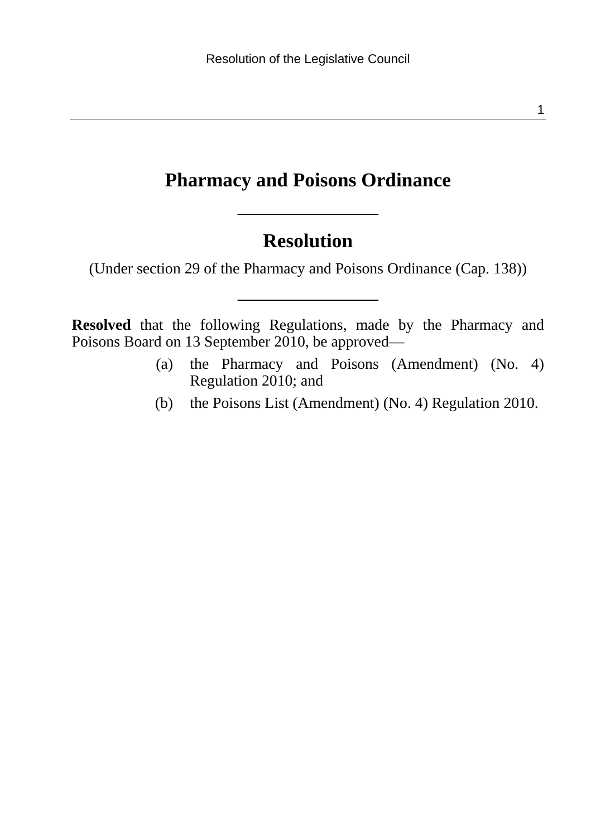#### 1

### **Pharmacy and Poisons Ordinance**

## **Resolution**

(Under section 29 of the Pharmacy and Poisons Ordinance (Cap. 138))

**Resolved** that the following Regulations, made by the Pharmacy and Poisons Board on 13 September 2010, be approved—

- (a) the Pharmacy and Poisons (Amendment) (No. 4) Regulation 2010; and
- (b) the Poisons List (Amendment) (No. 4) Regulation 2010.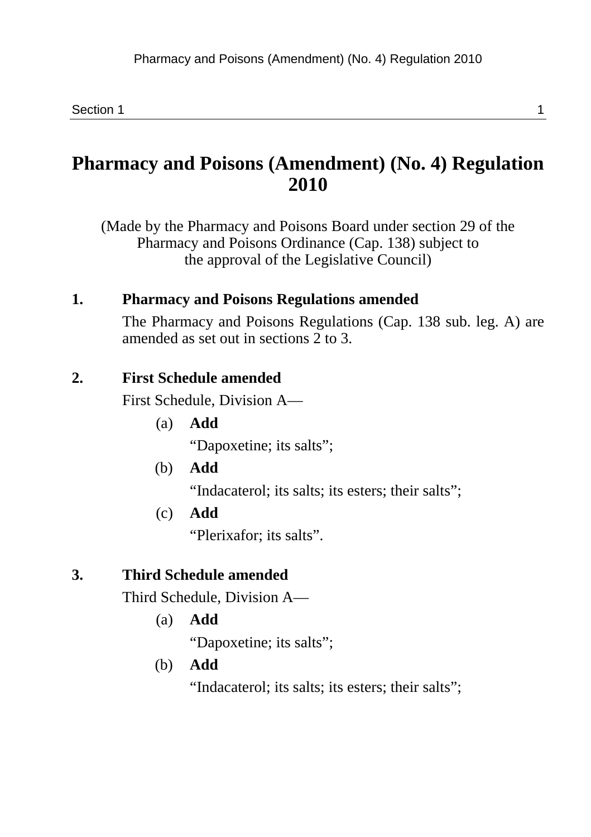## **Pharmacy and Poisons (Amendment) (No. 4) Regulation 2010**

(Made by the Pharmacy and Poisons Board under section 29 of the Pharmacy and Poisons Ordinance (Cap. 138) subject to the approval of the Legislative Council)

### **1. Pharmacy and Poisons Regulations amended**

The Pharmacy and Poisons Regulations (Cap. 138 sub. leg. A) are amended as set out in sections 2 to 3.

#### **2. First Schedule amended**

First Schedule, Division A—

- (a) **Add**  "Dapoxetine; its salts";
- (b) **Add**  "Indacaterol; its salts; its esters; their salts";
- (c) **Add**

"Plerixafor; its salts".

#### **3. Third Schedule amended**

Third Schedule, Division A—

(a) **Add** 

"Dapoxetine; its salts";

(b) **Add** 

"Indacaterol; its salts; its esters; their salts";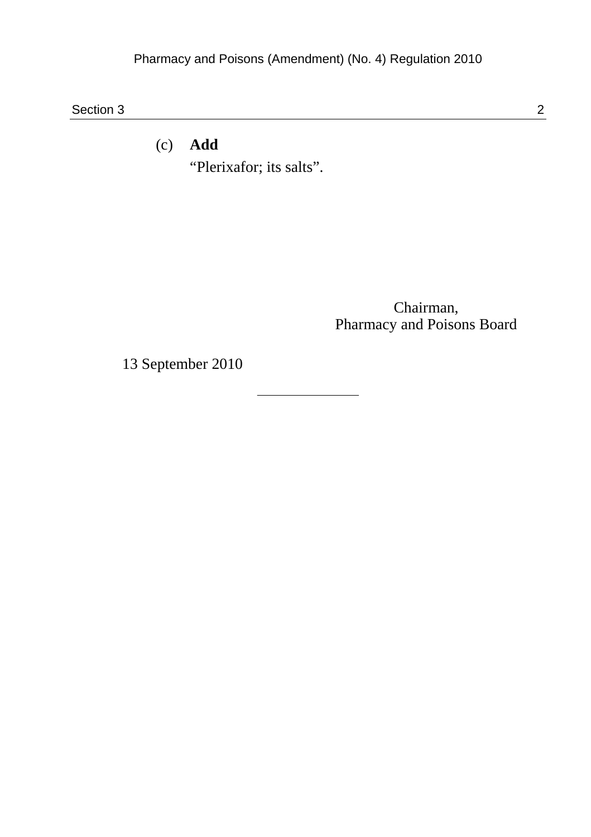Section 3 2

(c) **Add**  "Plerixafor; its salts".

> Chairman, Pharmacy and Poisons Board

13 September 2010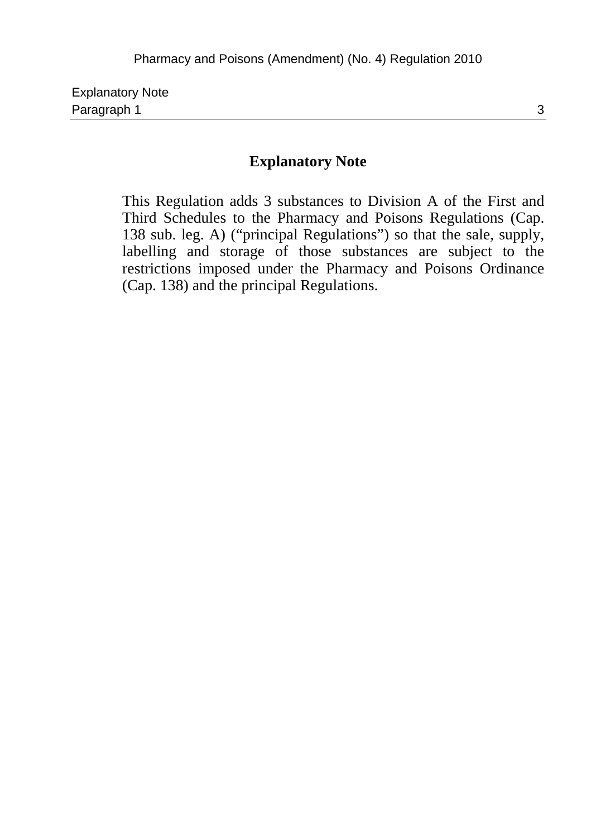| <b>Explanatory Note</b> |  |
|-------------------------|--|
| Paragraph 1             |  |

#### **Explanatory Note**

This Regulation adds 3 substances to Division A of the First and Third Schedules to the Pharmacy and Poisons Regulations (Cap. 138 sub. leg. A) ("principal Regulations") so that the sale, supply, labelling and storage of those substances are subject to the restrictions imposed under the Pharmacy and Poisons Ordinance (Cap. 138) and the principal Regulations.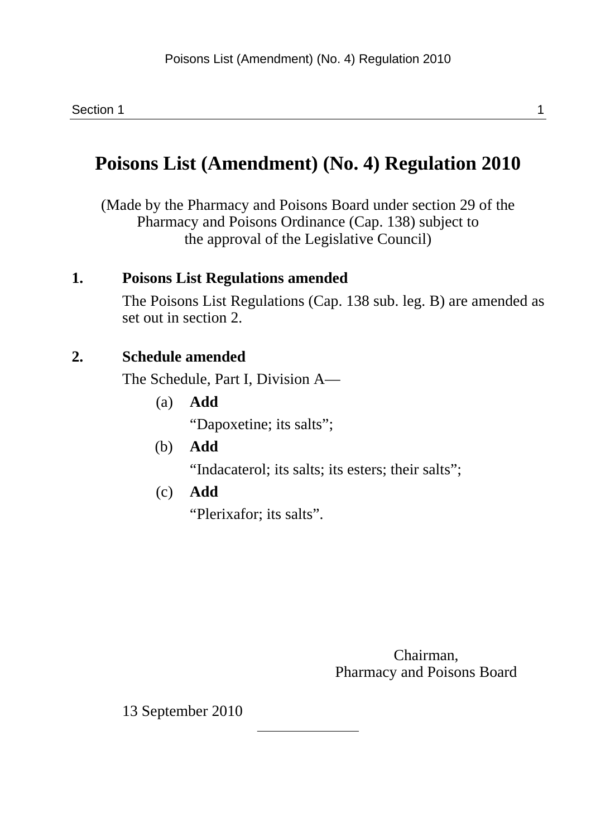## **Poisons List (Amendment) (No. 4) Regulation 2010**

(Made by the Pharmacy and Poisons Board under section 29 of the Pharmacy and Poisons Ordinance (Cap. 138) subject to the approval of the Legislative Council)

#### **1. Poisons List Regulations amended**

The Poisons List Regulations (Cap. 138 sub. leg. B) are amended as set out in section 2.

### **2. Schedule amended**

The Schedule, Part I, Division A—

(a) **Add** 

"Dapoxetine; its salts";

- (b) **Add**  "Indacaterol; its salts; its esters; their salts";
- (c) **Add**

"Plerixafor; its salts".

Chairman, Pharmacy and Poisons Board

13 September 2010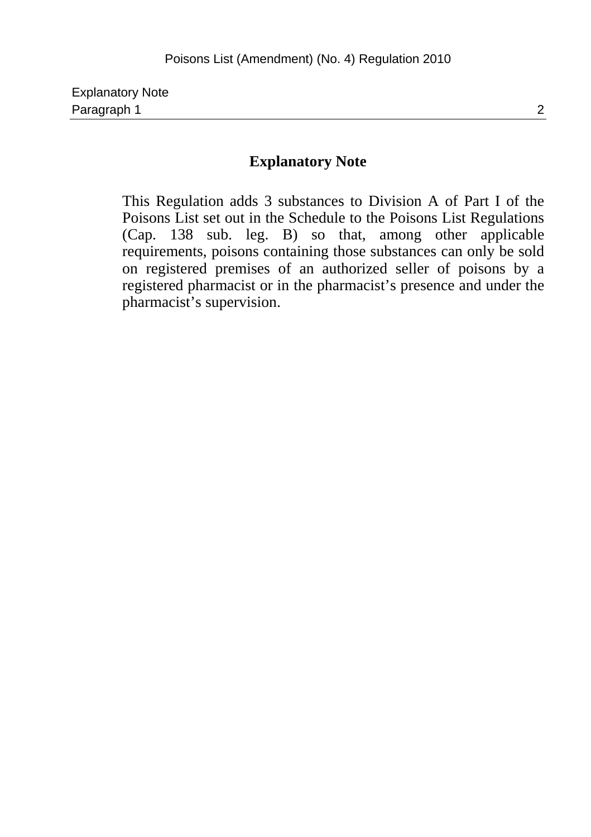#### **Explanatory Note**

This Regulation adds 3 substances to Division A of Part I of the Poisons List set out in the Schedule to the Poisons List Regulations (Cap. 138 sub. leg. B) so that, among other applicable requirements, poisons containing those substances can only be sold on registered premises of an authorized seller of poisons by a registered pharmacist or in the pharmacist's presence and under the pharmacist's supervision.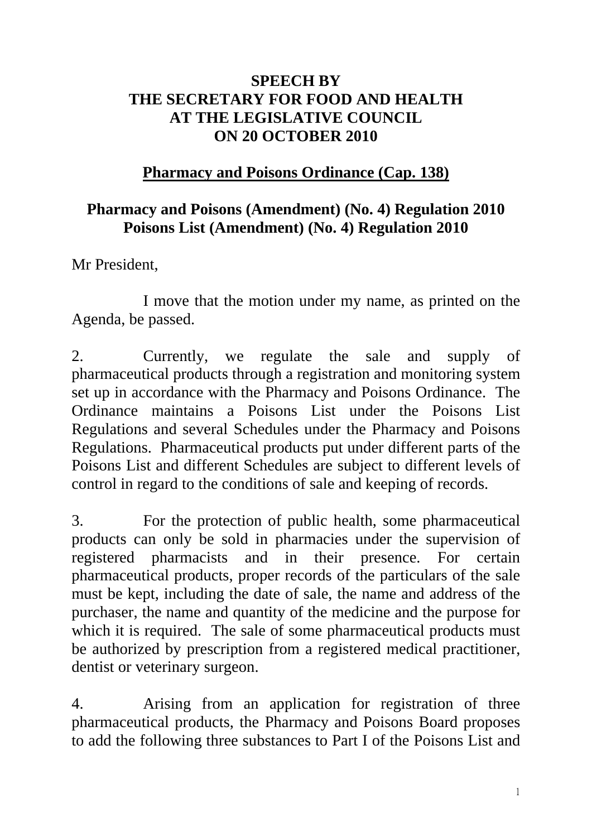## **SPEECH BY THE SECRETARY FOR FOOD AND HEALTH AT THE LEGISLATIVE COUNCIL ON 20 OCTOBER 2010**

# **Pharmacy and Poisons Ordinance (Cap. 138)**

## **Pharmacy and Poisons (Amendment) (No. 4) Regulation 2010 Poisons List (Amendment) (No. 4) Regulation 2010**

Mr President,

1 I move that the motion under my name, as printed on the Agenda, be passed.

2. Currently, we regulate the sale and supply of pharmaceutical products through a registration and monitoring system set up in accordance with the Pharmacy and Poisons Ordinance. The Ordinance maintains a Poisons List under the Poisons List Regulations and several Schedules under the Pharmacy and Poisons Regulations. Pharmaceutical products put under different parts of the Poisons List and different Schedules are subject to different levels of control in regard to the conditions of sale and keeping of records.

3. For the protection of public health, some pharmaceutical products can only be sold in pharmacies under the supervision of registered pharmacists and in their presence. For certain pharmaceutical products, proper records of the particulars of the sale must be kept, including the date of sale, the name and address of the purchaser, the name and quantity of the medicine and the purpose for which it is required. The sale of some pharmaceutical products must be authorized by prescription from a registered medical practitioner, dentist or veterinary surgeon.

4. Arising from an application for registration of three pharmaceutical products, the Pharmacy and Poisons Board proposes to add the following three substances to Part I of the Poisons List and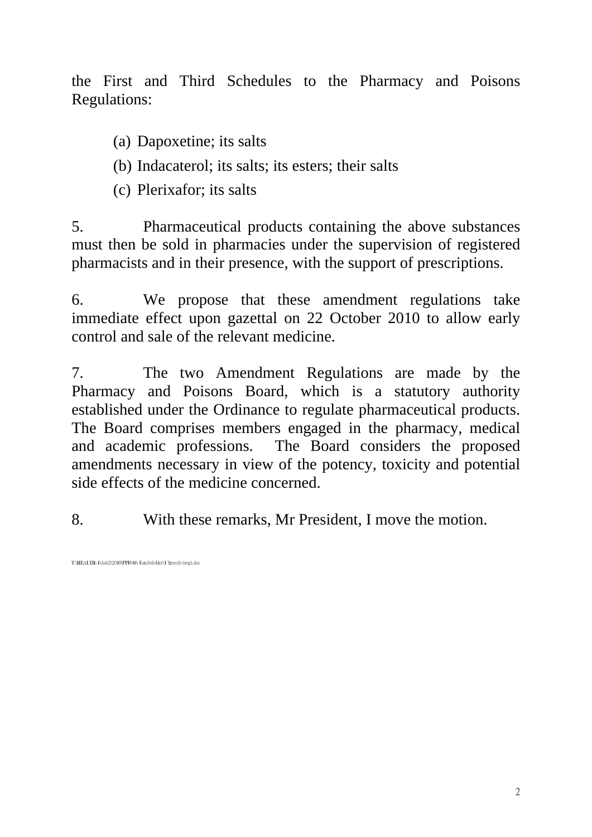the First and Third Schedules to the Pharmacy and Poisons Regulations:

- (a) Dapoxetine; its salts
- (b) Indacaterol; its salts; its esters; their salts
- (c) Plerixafor; its salts

5. Pharmaceutical products containing the above substances must then be sold in pharmacies under the supervision of registered pharmacists and in their presence, with the support of prescriptions.

6. We propose that these amendment regulations take immediate effect upon gazettal on 22 October 2010 to allow early control and sale of the relevant medicine.

7. The two Amendment Regulations are made by the Pharmacy and Poisons Board, which is a statutory authority established under the Ordinance to regulate pharmaceutical products. The Board comprises members engaged in the pharmacy, medical and academic professions. The Board considers the proposed amendments necessary in view of the potency, toxicity and potential side effects of the medicine concerned.

8. With these remarks, Mr President, I move the motion.

T:\HEALTH-1\Ash2\2010\PPR\4th Batch\folder\1 Speech (eng).do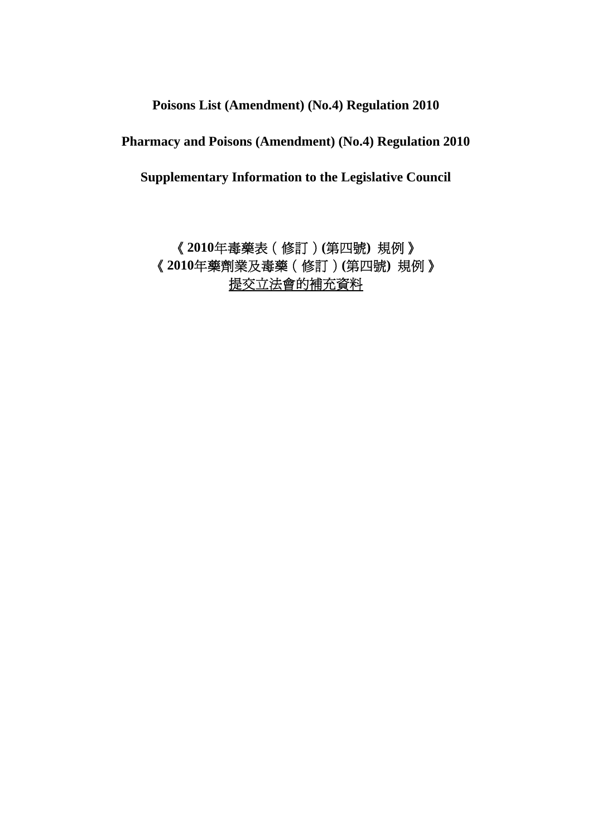**Poisons List (Amendment) (No.4) Regulation 2010** 

**Pharmacy and Poisons (Amendment) (No.4) Regulation 2010** 

**Supplementary Information to the Legislative Council** 

《**2010**年毒藥表(修訂)**(**第四號**)** 規例》 《**2010**年藥劑業及毒藥(修訂)**(**第四號**)** 規例》 提交立法會的補充資料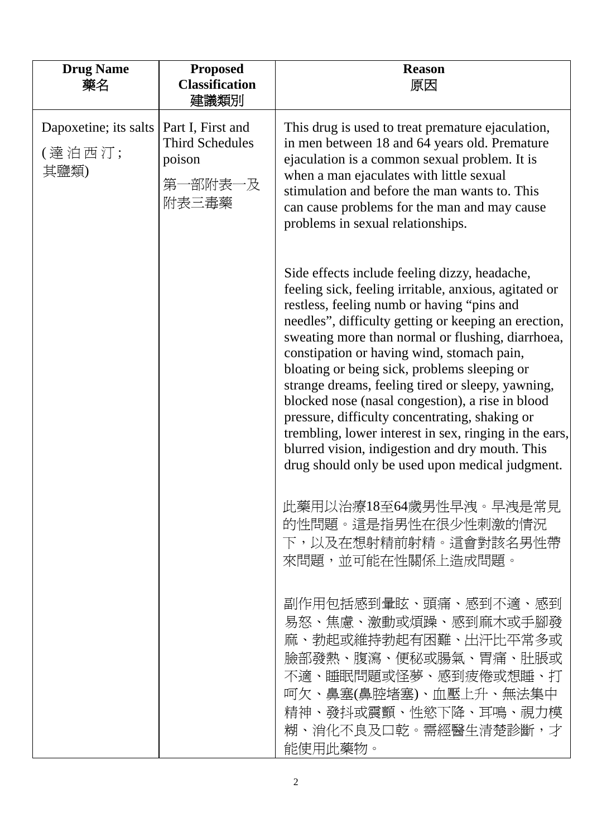| <b>Drug Name</b><br>藥名                  | <b>Proposed</b><br><b>Classification</b><br>建議類別                          | <b>Reason</b><br>原因                                                                                                                                                                                                                                                                                                                                                                                                                                                                                                                                                                                                                                                                        |
|-----------------------------------------|---------------------------------------------------------------------------|--------------------------------------------------------------------------------------------------------------------------------------------------------------------------------------------------------------------------------------------------------------------------------------------------------------------------------------------------------------------------------------------------------------------------------------------------------------------------------------------------------------------------------------------------------------------------------------------------------------------------------------------------------------------------------------------|
| Dapoxetine; its salts<br>(達泊西汀;<br>其鹽類) | Part I, First and<br><b>Third Schedules</b><br>poison<br>第一部附表一及<br>附表三毒藥 | This drug is used to treat premature ejaculation,<br>in men between 18 and 64 years old. Premature<br>ejaculation is a common sexual problem. It is<br>when a man ejaculates with little sexual<br>stimulation and before the man wants to. This<br>can cause problems for the man and may cause<br>problems in sexual relationships.                                                                                                                                                                                                                                                                                                                                                      |
|                                         |                                                                           | Side effects include feeling dizzy, headache,<br>feeling sick, feeling irritable, anxious, agitated or<br>restless, feeling numb or having "pins and<br>needles", difficulty getting or keeping an erection,<br>sweating more than normal or flushing, diarrhoea,<br>constipation or having wind, stomach pain,<br>bloating or being sick, problems sleeping or<br>strange dreams, feeling tired or sleepy, yawning,<br>blocked nose (nasal congestion), a rise in blood<br>pressure, difficulty concentrating, shaking or<br>trembling, lower interest in sex, ringing in the ears,<br>blurred vision, indigestion and dry mouth. This<br>drug should only be used upon medical judgment. |
|                                         |                                                                           | 此藥用以治療18至64歲男性早洩。早洩是常見<br>的性問題。這是指男性在很少性刺激的情況<br>下,以及在想射精前射精。這會對該名男性帶<br>來問題,並可能在性關係上造成問題。                                                                                                                                                                                                                                                                                                                                                                                                                                                                                                                                                                                                 |
|                                         |                                                                           | 副作用包括感到暈眩、頭痛、感到不適、感到<br>易怒、焦慮、激動或煩躁、感到麻木或手腳發<br>麻、勃起或維持勃起有困難、出汗比平常多或<br>臉部發熱、腹瀉、便秘或腸氣、胃痛、肚脹或<br>不適、睡眠問題或怪夢、感到疲倦或想睡、打<br>呵欠、鼻塞(鼻腔堵塞)、血壓上升、無法集中<br>精神、發抖或震顫、性慾下降、耳鳴、視力模<br>糊、消化不良及口乾。需經醫生清楚診斷,才<br>能使用此藥物。                                                                                                                                                                                                                                                                                                                                                                                                                                                                                   |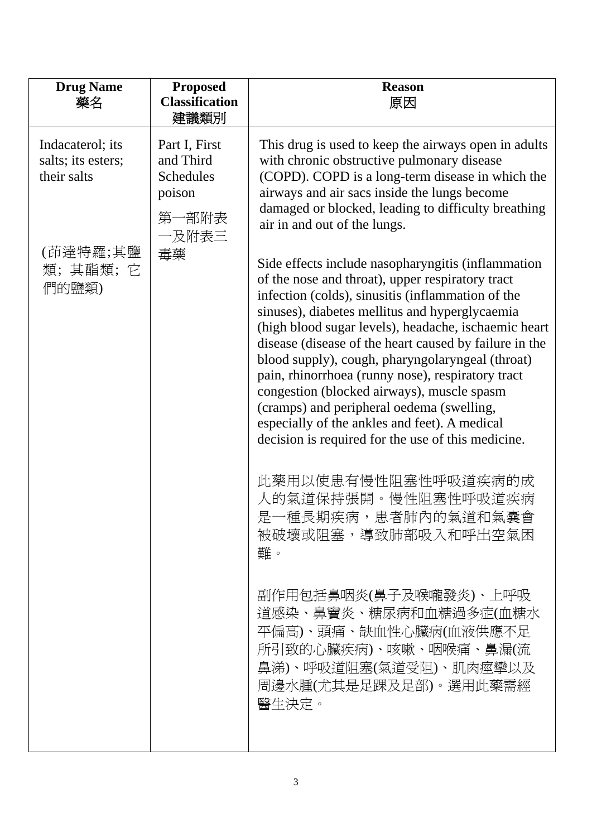| <b>Drug Name</b><br>藥名                                                                | <b>Proposed</b><br><b>Classification</b><br>建議類別                          | <b>Reason</b><br>原因                                                                                                                                                                                                                                                                                                                                                                                                                                                                                                                                                                                                                                                                                                                                                                                                                                                                                                                                                                                                                                                                                                                                                                                           |
|---------------------------------------------------------------------------------------|---------------------------------------------------------------------------|---------------------------------------------------------------------------------------------------------------------------------------------------------------------------------------------------------------------------------------------------------------------------------------------------------------------------------------------------------------------------------------------------------------------------------------------------------------------------------------------------------------------------------------------------------------------------------------------------------------------------------------------------------------------------------------------------------------------------------------------------------------------------------------------------------------------------------------------------------------------------------------------------------------------------------------------------------------------------------------------------------------------------------------------------------------------------------------------------------------------------------------------------------------------------------------------------------------|
| Indacaterol; its<br>salts; its esters;<br>their salts<br>(茚達特羅;其鹽<br>類;其酯類;它<br>們的鹽類) | Part I, First<br>and Third<br>Schedules<br>poison<br>第一部附表<br>一及附表三<br>毒藥 | This drug is used to keep the airways open in adults<br>with chronic obstructive pulmonary disease<br>(COPD). COPD is a long-term disease in which the<br>airways and air sacs inside the lungs become<br>damaged or blocked, leading to difficulty breathing<br>air in and out of the lungs.<br>Side effects include nasopharyngitis (inflammation<br>of the nose and throat), upper respiratory tract<br>infection (colds), sinusitis (inflammation of the<br>sinuses), diabetes mellitus and hyperglycaemia<br>(high blood sugar levels), headache, ischaemic heart<br>disease (disease of the heart caused by failure in the<br>blood supply), cough, pharyngolaryngeal (throat)<br>pain, rhinorrhoea (runny nose), respiratory tract<br>congestion (blocked airways), muscle spasm<br>(cramps) and peripheral oedema (swelling,<br>especially of the ankles and feet). A medical<br>decision is required for the use of this medicine.<br>此藥用以使患有慢性阻塞性呼吸道疾病的成<br>人的氣道保持張開。慢性阻塞性呼吸道疾病<br>是一種長期疾病,患者肺內的氣道和氣囊會<br>被破壞或阻塞,導致肺部吸入和呼出空氣困<br>難。<br>副作用包括鼻咽炎(鼻子及喉嚨發炎)、上呼吸<br>道感染、鼻竇炎、糖尿病和血糖過多症(血糖水<br>平偏高)、頭痛、缺血性心臟病(血液供應不足<br>所引致的心臟疾病)、咳嗽、咽喉痛、鼻漏(流<br>鼻涕)、呼吸道阻塞(氣道受阻)、肌肉痙攣以及<br>周邊水腫(尤其是足踝及足部)。選用此藥需經<br>醫生決定。 |
|                                                                                       |                                                                           |                                                                                                                                                                                                                                                                                                                                                                                                                                                                                                                                                                                                                                                                                                                                                                                                                                                                                                                                                                                                                                                                                                                                                                                                               |